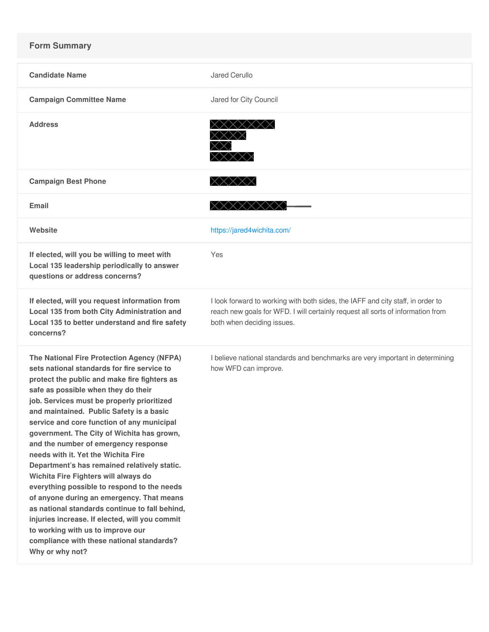## **Form Summary**

| <b>Candidate Name</b>                                                                                                                                                                                                                                                                                                                                                                                                                                                                                                                                                                                                                                                                                                                                                                                                                              | Jared Cerullo                                                                                                                                                                                    |
|----------------------------------------------------------------------------------------------------------------------------------------------------------------------------------------------------------------------------------------------------------------------------------------------------------------------------------------------------------------------------------------------------------------------------------------------------------------------------------------------------------------------------------------------------------------------------------------------------------------------------------------------------------------------------------------------------------------------------------------------------------------------------------------------------------------------------------------------------|--------------------------------------------------------------------------------------------------------------------------------------------------------------------------------------------------|
| <b>Campaign Committee Name</b>                                                                                                                                                                                                                                                                                                                                                                                                                                                                                                                                                                                                                                                                                                                                                                                                                     | Jared for City Council                                                                                                                                                                           |
| <b>Address</b>                                                                                                                                                                                                                                                                                                                                                                                                                                                                                                                                                                                                                                                                                                                                                                                                                                     | <b>xxxxxxxx</b>                                                                                                                                                                                  |
| <b>Campaign Best Phone</b>                                                                                                                                                                                                                                                                                                                                                                                                                                                                                                                                                                                                                                                                                                                                                                                                                         | XXXXX                                                                                                                                                                                            |
| Email                                                                                                                                                                                                                                                                                                                                                                                                                                                                                                                                                                                                                                                                                                                                                                                                                                              | $X$ $X$ $X$ $X$ $X$ $X$ $X$                                                                                                                                                                      |
| Website                                                                                                                                                                                                                                                                                                                                                                                                                                                                                                                                                                                                                                                                                                                                                                                                                                            | https://jared4wichita.com/                                                                                                                                                                       |
| If elected, will you be willing to meet with<br>Local 135 leadership periodically to answer<br>questions or address concerns?                                                                                                                                                                                                                                                                                                                                                                                                                                                                                                                                                                                                                                                                                                                      | Yes                                                                                                                                                                                              |
| If elected, will you request information from<br>Local 135 from both City Administration and<br>Local 135 to better understand and fire safety<br>concerns?                                                                                                                                                                                                                                                                                                                                                                                                                                                                                                                                                                                                                                                                                        | I look forward to working with both sides, the IAFF and city staff, in order to<br>reach new goals for WFD. I will certainly request all sorts of information from<br>both when deciding issues. |
| The National Fire Protection Agency (NFPA)<br>sets national standards for fire service to<br>protect the public and make fire fighters as<br>safe as possible when they do their<br>job. Services must be properly prioritized<br>and maintained. Public Safety is a basic<br>service and core function of any municipal<br>government. The City of Wichita has grown,<br>and the number of emergency response<br>needs with it. Yet the Wichita Fire<br>Department's has remained relatively static.<br>Wichita Fire Fighters will always do<br>everything possible to respond to the needs<br>of anyone during an emergency. That means<br>as national standards continue to fall behind,<br>injuries increase. If elected, will you commit<br>to working with us to improve our<br>compliance with these national standards?<br>Why or why not? | I believe national standards and benchmarks are very important in determining<br>how WFD can improve.                                                                                            |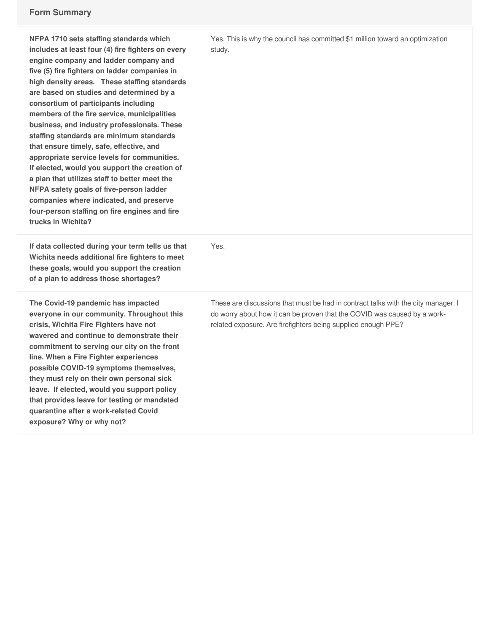## **Form Summary**

| NFPA 1710 sets staffing standards which<br>includes at least four (4) fire fighters on every<br>engine company and ladder company and<br>five (5) fire fighters on ladder companies in<br>high density areas. These staffing standards<br>are based on studies and determined by a<br>consortium of participants including<br>members of the fire service, municipalities<br>business, and industry professionals. These<br>staffing standards are minimum standards<br>that ensure timely, safe, effective, and<br>appropriate service levels for communities.<br>If elected, would you support the creation of<br>a plan that utilizes staff to better meet the<br>NFPA safety goals of five-person ladder<br>companies where indicated, and preserve<br>four-person staffing on fire engines and fire<br>trucks in Wichita? | Yes. This is why the council has committed \$1 million toward an optimization<br>study.                                                                                                                                        |
|--------------------------------------------------------------------------------------------------------------------------------------------------------------------------------------------------------------------------------------------------------------------------------------------------------------------------------------------------------------------------------------------------------------------------------------------------------------------------------------------------------------------------------------------------------------------------------------------------------------------------------------------------------------------------------------------------------------------------------------------------------------------------------------------------------------------------------|--------------------------------------------------------------------------------------------------------------------------------------------------------------------------------------------------------------------------------|
| If data collected during your term tells us that<br>Wichita needs additional fire fighters to meet<br>these goals, would you support the creation<br>of a plan to address those shortages?                                                                                                                                                                                                                                                                                                                                                                                                                                                                                                                                                                                                                                     | Yes.                                                                                                                                                                                                                           |
| The Covid-19 pandemic has impacted<br>everyone in our community. Throughout this<br>crisis, Wichita Fire Fighters have not<br>wavered and continue to demonstrate their<br>commitment to serving our city on the front<br>line. When a Fire Fighter experiences<br>possible COVID-19 symptoms themselves,<br>they must rely on their own personal sick<br>leave. If elected, would you support policy<br>that provides leave for testing or mandated<br>quarantine after a work-related Covid<br>exposure? Why or why not?                                                                                                                                                                                                                                                                                                     | These are discussions that must be had in contract talks with the city manager. I<br>do worry about how it can be proven that the COVID was caused by a work-<br>related exposure. Are firefighters being supplied enough PPE? |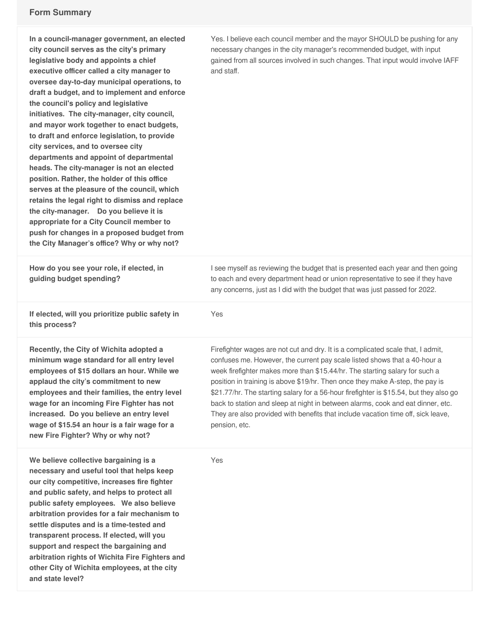**and state level?**

| In a council-manager government, an elected<br>city council serves as the city's primary<br>legislative body and appoints a chief<br>executive officer called a city manager to<br>oversee day-to-day municipal operations, to<br>draft a budget, and to implement and enforce<br>the council's policy and legislative<br>initiatives. The city-manager, city council,<br>and mayor work together to enact budgets,<br>to draft and enforce legislation, to provide<br>city services, and to oversee city<br>departments and appoint of departmental<br>heads. The city-manager is not an elected<br>position. Rather, the holder of this office<br>serves at the pleasure of the council, which<br>retains the legal right to dismiss and replace<br>the city-manager. Do you believe it is<br>appropriate for a City Council member to<br>push for changes in a proposed budget from<br>the City Manager's office? Why or why not? | Yes. I believe each council member and the mayor SHOULD be pushing for any<br>necessary changes in the city manager's recommended budget, with input<br>gained from all sources involved in such changes. That input would involve IAFF<br>and staff.                                                                                                                                                                                                                                                                                                                                                          |
|--------------------------------------------------------------------------------------------------------------------------------------------------------------------------------------------------------------------------------------------------------------------------------------------------------------------------------------------------------------------------------------------------------------------------------------------------------------------------------------------------------------------------------------------------------------------------------------------------------------------------------------------------------------------------------------------------------------------------------------------------------------------------------------------------------------------------------------------------------------------------------------------------------------------------------------|----------------------------------------------------------------------------------------------------------------------------------------------------------------------------------------------------------------------------------------------------------------------------------------------------------------------------------------------------------------------------------------------------------------------------------------------------------------------------------------------------------------------------------------------------------------------------------------------------------------|
| How do you see your role, if elected, in<br>guiding budget spending?                                                                                                                                                                                                                                                                                                                                                                                                                                                                                                                                                                                                                                                                                                                                                                                                                                                                 | I see myself as reviewing the budget that is presented each year and then going<br>to each and every department head or union representative to see if they have<br>any concerns, just as I did with the budget that was just passed for 2022.                                                                                                                                                                                                                                                                                                                                                                 |
| If elected, will you prioritize public safety in<br>this process?                                                                                                                                                                                                                                                                                                                                                                                                                                                                                                                                                                                                                                                                                                                                                                                                                                                                    | Yes                                                                                                                                                                                                                                                                                                                                                                                                                                                                                                                                                                                                            |
| Recently, the City of Wichita adopted a<br>minimum wage standard for all entry level<br>employees of \$15 dollars an hour. While we<br>applaud the city's commitment to new<br>employees and their families, the entry level<br>wage for an incoming Fire Fighter has not<br>increased. Do you believe an entry level<br>wage of \$15.54 an hour is a fair wage for a<br>new Fire Fighter? Why or why not?                                                                                                                                                                                                                                                                                                                                                                                                                                                                                                                           | Firefighter wages are not cut and dry. It is a complicated scale that, I admit,<br>confuses me. However, the current pay scale listed shows that a 40-hour a<br>week firefighter makes more than \$15.44/hr. The starting salary for such a<br>position in training is above \$19/hr. Then once they make A-step, the pay is<br>\$21.77/hr. The starting salary for a 56-hour firefighter is \$15.54, but they also go<br>back to station and sleep at night in between alarms, cook and eat dinner, etc.<br>They are also provided with benefits that include vacation time off, sick leave,<br>pension, etc. |
| We believe collective bargaining is a<br>necessary and useful tool that helps keep<br>our city competitive, increases fire fighter<br>and public safety, and helps to protect all<br>public safety employees. We also believe<br>arbitration provides for a fair mechanism to<br>settle disputes and is a time-tested and<br>transparent process. If elected, will you<br>support and respect the bargaining and<br>arbitration rights of Wichita Fire Fighters and<br>other City of Wichita employees, at the city                                                                                                                                                                                                                                                                                                                                                                                                                  | Yes                                                                                                                                                                                                                                                                                                                                                                                                                                                                                                                                                                                                            |